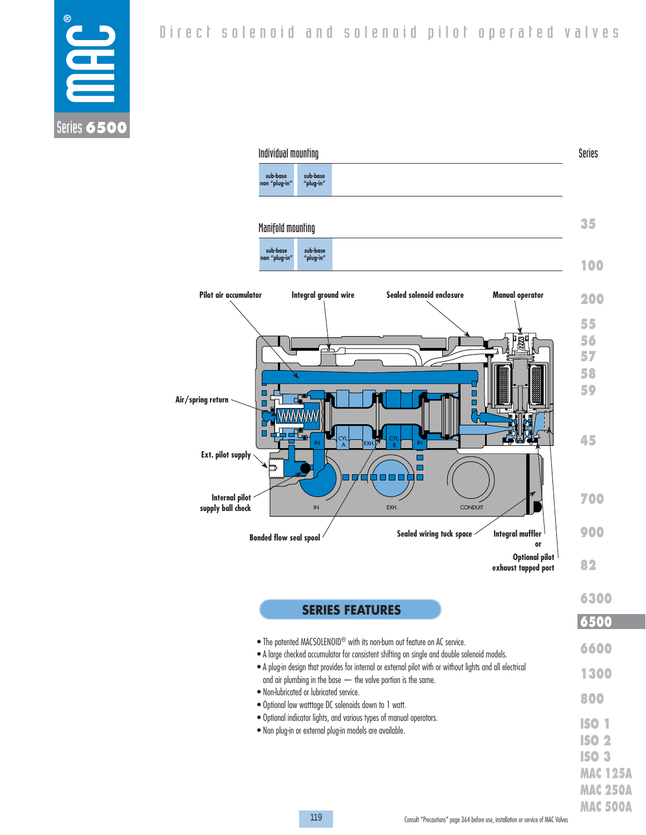

 Individual mounting Series **sub-base sub-base "plug-in" non "plug-in" 35** Manifold mounting **sub-base sub-base "plug-in"** n "plug **100 Integral ground wire Sealed solenoid enclosure Manual operator Pilot air accumulator 200 55 56** ┻╭┌┱ **57 58 59** П **Air/spring return**  $\blacksquare$ **45** IN **SOLLEY LEXH. PLAN CYL.**  $\begin{array}{c} \begin{array}{c} \n\text{CYL} \n\end{array} \n\end{array}$  EXH.  $\begin{array}{c} \n\text{EXH.} \n\end{array}$   $\begin{array}{c} \n\text{CYL} \n\end{array}$   $\begin{array}{c} \n\text{BYL} \n\end{array}$   $\begin{array}{c} \n\text{IN} \n\end{array}$ A **Ext. pilot supply** n 7 Ó O O O n **Internal pilot 700 supply ball check** IN / EXH. CONDUIT **900 Bonded flow seal spool Sealed wiring tuck space Integral muffler or Optional pilot 82 exhaust tapped port 6300 SERIES FEATURES 6500 6500**• The patented MACSOLENOID® with its non-burn out feature on AC service. **6600** • A large checked accumulator for consistent shifting on single and double solenoid models. • A plug-in design that provides for internal or external pilot with or without lights and all electrical **1300** and air plumbing in the base — the valve portion is the same. • Non-lubricated or lubricated service. **800** • Optional low watttage DC solenoids down to 1 watt. • Optional indicator lights, and various types of manual operators.

• Non plug-in or external plug-in models are available.

**ISO 1 ISO 2 ISO 3 MAC 125A MAC 250A MAC 500A**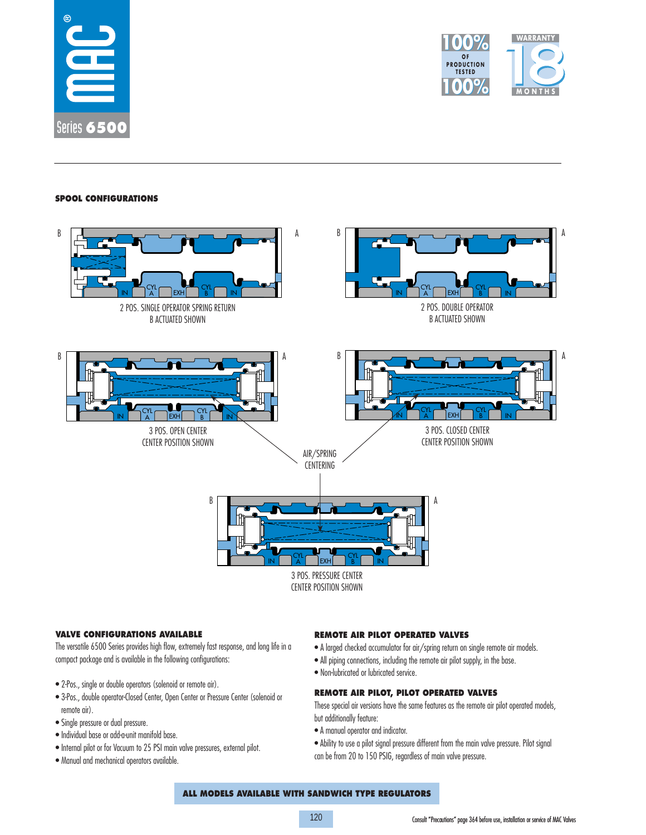



## **SPOOL CONFIGURATIONS**



## **VALVE CONFIGURATIONS AVAILABLE**

The versatile 6500 Series provides high flow, extremely fast response, and long life in a compact package and is available in the following configurations:

- 2-Pos., single or double operators (solenoid or remote air).
- 3-Pos., double operator-Closed Center, Open Center or Pressure Center (solenoid or remote air).
- Single pressure or dual pressure.
- Individual base or add-a-unit manifold base.
- Internal pilot or for Vacuum to 25 PSI main valve pressures, external pilot.
- Manual and mechanical operators available.

## **REMOTE AIR PILOT OPERATED VALVES**

- A larged checked accumulator for air/spring return on single remote air models.
- All piping connections, including the remote air pilot supply, in the base.
- Non-lubricated or lubricated service.

## **REMOTE AIR PILOT, PILOT OPERATED VALVES**

These special air versions have the same features as the remote air pilot operated models, but additionally feature:

- A manual operator and indicator.
- Ability to use a pilot signal pressure different from the main valve pressure. Pilot signal can be from 20 to 150 PSIG, regardless of main valve pressure.

## **ALL MODELS AVAILABLE WITH SANDWICH TYPE REGULATORS**

120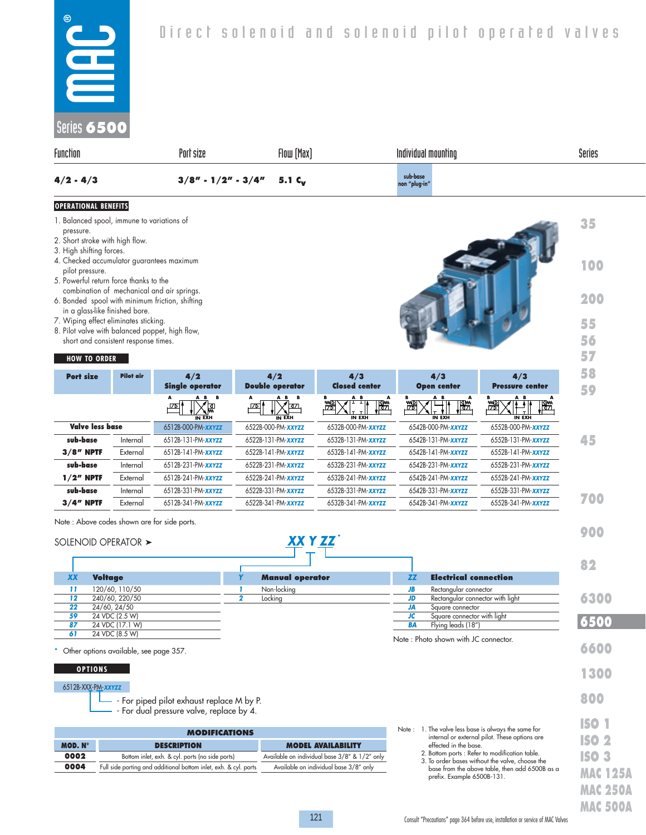| <b>OPERATIONAL BENEFITS</b><br>1. Balanced spool, immune to variations of |                      |                  |                                                    | 35     |
|---------------------------------------------------------------------------|----------------------|------------------|----------------------------------------------------|--------|
| $4/2 - 4/3$                                                               | $3/8" - 1/2" - 3/4"$ | $5.1\,c_{\rm w}$ | sub-base<br>non "plug-in"                          |        |
| Function                                                                  | Port size            | Flow [Max]       | Individual mounting                                | Series |
| Series 6500                                                               |                      |                  |                                                    |        |
| $^{\circ}$<br>2<br>2<br>$\blacksquare$                                    |                      |                  | Direct solenoid and solenoid pilot operated valves |        |
|                                                                           |                      |                  |                                                    |        |

- pressure. 2. Short stroke with high flow.
- 3. High shifting forces.
- 4. Checked accumulator guarantees maximum pilot pressure.
- 5. Powerful return force thanks to the combination of mechanical and air springs.
- 6. Bonded spool with minimum friction, shifting in a glass-like finished bore.
- 7. Wiping effect eliminates sticking.
- 8. Pilot valve with balanced poppet, high flow, short and consistent response times.

## **HOW TO ORDER**

| <b>Port size</b>       | <b>Pilot air</b> | 4/2                                                | 4/2<br><b>Double operator</b>         | 4/3<br><b>Closed center</b>                                    | 4/3                                   | 4/3<br><b>Pressure center</b>    |
|------------------------|------------------|----------------------------------------------------|---------------------------------------|----------------------------------------------------------------|---------------------------------------|----------------------------------|
|                        |                  | <b>Single operator</b>                             |                                       |                                                                | <b>Open center</b>                    |                                  |
|                        |                  | A B B<br>A<br>區<br>$\overline{L}$<br><b>IN EXH</b> | AB B<br>ক্ৰম<br>י¤⊿.<br><b>IN EXH</b> | A B<br>А<br>$\mathbb{B}^*$<br>澀<br>$\sqrt{ }$<br><b>IN EXH</b> | A B<br>A<br>ľ₩.<br>₩<br><b>IN EXH</b> | A B<br>澀<br>I₩.<br><b>IN EXH</b> |
| <b>Valve less base</b> |                  | 6512B-000-PM-XXYZZ                                 | 6522B-000-PM- <b>xxyzz</b>            | 6532B-000-PM- <b>xxyzz</b>                                     | 6542B-000-PM-XXYZZ                    | 6552B-000-PM-XXYZZ               |
| sub-base               | Internal         | 6512B-131-PM- <b>xxyzz</b>                         | 6522B-131-PM- <b>xxyzz</b>            | 6532B-131-PM- <b>xxyzz</b>                                     | 6542B-131-PM-XXYZZ                    | 6552B-131-PM- <b>xxyzz</b>       |
| $3/8$ " NPTF           | External         | 6512B-141-PM- <b>xxyzz</b>                         | 6522B-141-PM- <b>xxyzz</b>            | 6532B-141-PM-XXYZZ                                             | 6542B-141-PM-XXYZZ                    | 6552B-141-PM-XXYZZ               |
| sub-base               | Internal         | 6512B-231-PM- <b>xxyzz</b>                         | 6522B-231-PM-XXYZZ                    | 6532B-231-PM- <b>xxyzz</b>                                     | 6542B-231-PM- <b>xxyzz</b>            | 6552B-231-PM- <b>xxyzz</b>       |
| $1/2$ " NPTF           | External         | 6512B-241-PM- <b>xxyzz</b>                         | 6522B-241-PM-XXYZZ                    | 6532B-241-PM-XXYZZ                                             | 6542B-241-PM-XXYZZ                    | 6552B-241-PM-XXYZZ               |
| sub-base               | Internal         | 6512B-331-PM- <b>xxyzz</b>                         | 6522B-331-PM- <b>xxyzz</b>            | 6532B-331-PM- <b>xxyzz</b>                                     | 6542B-331-PM-XXYZZ                    | 6552B-331-PM-XXYZZ               |
| $3/4$ " NPTF           | External         | 6512B-341-PM- <b>xxyzz</b>                         | 6522B-341-PM- <b>xxyzz</b>            | 6532B-341-PM- <b>xxyzz</b>                                     | 6542B-341-PM- <b>xxyzz</b>            | 6552B-341-PM- <b>xxyzz</b>       |

 *XX Y ZZ* \*

Note : Above codes shown are for side ports.

## SOLENOID OPERATOR >

|           |                                          |                        |    |                                      | 82   |
|-----------|------------------------------------------|------------------------|----|--------------------------------------|------|
| <b>XX</b> | <b>Voltage</b>                           | <b>Manual operator</b> |    | <b>Electrical connection</b>         |      |
| 11        | 120/60, 110/50                           | Non-locking            |    | Rectangular connector                |      |
| 12        | 240/60, 220/50                           | Locking                |    | Rectangular connector with light     | 6300 |
| 22        | 24/60, 24/50                             |                        |    | Square connector                     |      |
| 59        | 24 VDC (2.5 W)                           |                        |    | Square connector with light          |      |
| 87        | 24 VDC (17.1 W)                          |                        | BА | Flying leads (18")                   | 5500 |
| 61        | 24 VDC (8.5 W)                           |                        |    |                                      |      |
|           | * Other options available, see page 357. |                        |    | Note: Photo shown with JC connector. | 660  |

\* Other options available, see page 357.

### **OPTIONS**

#### 6512B-XXX-PM-*XXYZZ*

- - For piped pilot exhaust replace M by P.

- For dual pressure valve, replace by 4.

|         | <b>MODIFICATIONS</b>                                             |                                               |
|---------|------------------------------------------------------------------|-----------------------------------------------|
| MOD. N° | <b>DESCRIPTION</b>                                               | <b>MODEL AVAILABILITY</b>                     |
| 0002    | Bottom inlet, exh. & cyl. ports (no side ports)                  | Available on individual base 3/8" & 1/2" only |
| 0004    | Full side porting and additional bottom inlet, exh. & cyl. ports | Available on individual base 3/8" only        |

| Note : 1. The valve less base is always the same for                                                                                                                              | $\mathbf{N}^{\bullet}$         |
|-----------------------------------------------------------------------------------------------------------------------------------------------------------------------------------|--------------------------------|
| internal or external pilot. These options are<br>effected in the base.                                                                                                            | ISO 2                          |
| 2. Bottom ports : Refer to modification table.<br>3. To order bases without the valve, choose the<br>base from the above table, then add 6500B as a<br>prefix. Example 6500B-131. | <b>ISO 3</b><br><b>MAC 125</b> |
|                                                                                                                                                                                   |                                |

**100**

**200**

**55 56 57**

**900**

**1300**

**800**

**DAMES**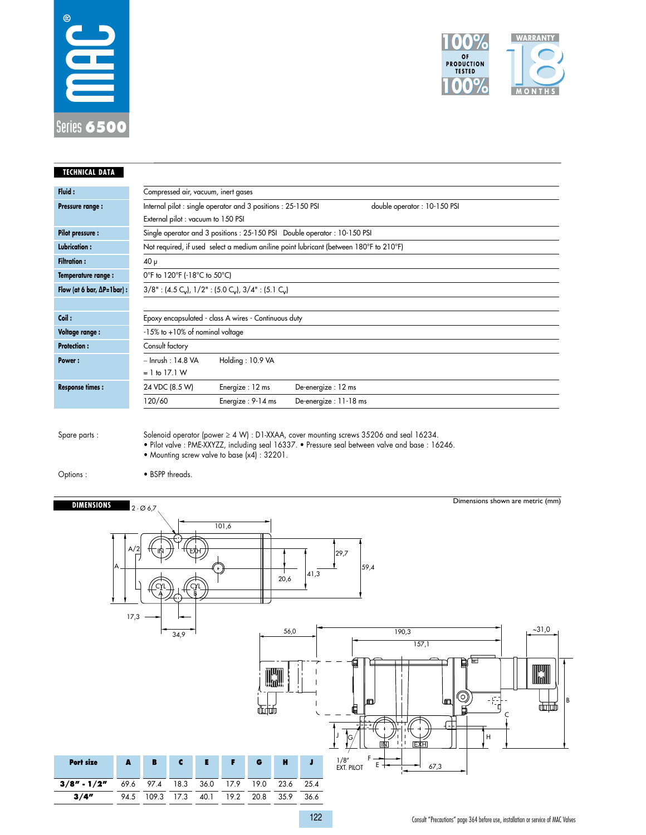



| <b>TECHNICAL DATA</b>                |                                       |                                                                                                |                                                                                        |
|--------------------------------------|---------------------------------------|------------------------------------------------------------------------------------------------|----------------------------------------------------------------------------------------|
| Fluid:                               | Compressed air, vacuum, inert gases   |                                                                                                |                                                                                        |
| Pressure range:                      |                                       | Internal pilot: single operator and 3 positions: 25-150 PSI                                    | double operator: 10-150 PSI                                                            |
|                                      | External pilot : vacuum to 150 PSI    |                                                                                                |                                                                                        |
| <b>Pilot pressure:</b>               |                                       |                                                                                                | Single operator and 3 positions: 25-150 PSI Double operator: 10-150 PSI                |
| Lubrication:                         |                                       |                                                                                                | Not required, if used select a medium aniline point lubricant (between 180°F to 210°F) |
| <b>Filtration:</b>                   | $40 \mu$                              |                                                                                                |                                                                                        |
| Temperature range:                   | 0°F to 120°F (-18°C to 50°C)          |                                                                                                |                                                                                        |
| Flow (at 6 bar, $\Delta P = 1$ bar): |                                       | $3/8"$ : (4.5 C <sub>v</sub> ), $1/2"$ : (5.0 C <sub>v</sub> ), $3/4"$ : (5.1 C <sub>v</sub> ) |                                                                                        |
|                                      |                                       |                                                                                                |                                                                                        |
| Coil:                                |                                       | Epoxy encapsulated - class A wires - Continuous duty                                           |                                                                                        |
| Voltage range:                       | $-15\%$ to $+10\%$ of nominal voltage |                                                                                                |                                                                                        |
| <b>Protection:</b>                   | Consult factory                       |                                                                                                |                                                                                        |
| Power:                               | $\sim$ Inrush : 14.8 VA               | Holding: 10.9 VA                                                                               |                                                                                        |
|                                      | $= 1$ to 17.1 W                       |                                                                                                |                                                                                        |
| <b>Response times:</b>               | 24 VDC (8.5 W)                        | Energize: 12 ms                                                                                | De-energize: 12 ms                                                                     |
|                                      | 120/60                                | Energize: 9-14 ms                                                                              | De-energize: 11-18 ms                                                                  |
|                                      |                                       |                                                                                                |                                                                                        |

Spare parts :

Solenoid operator (power ≥ 4 W) : D1-XXAA, cover mounting screws 35206 and seal 16234. • Pilot valve : PME-XXYZZ, including seal 16337. • Pressure seal between valve and base : 16246. • Mounting screw valve to base (x4) : 32201.

Options :

• BSPP threads.



Consult "Precautions" page 364 before use, installation or service of MAC Valves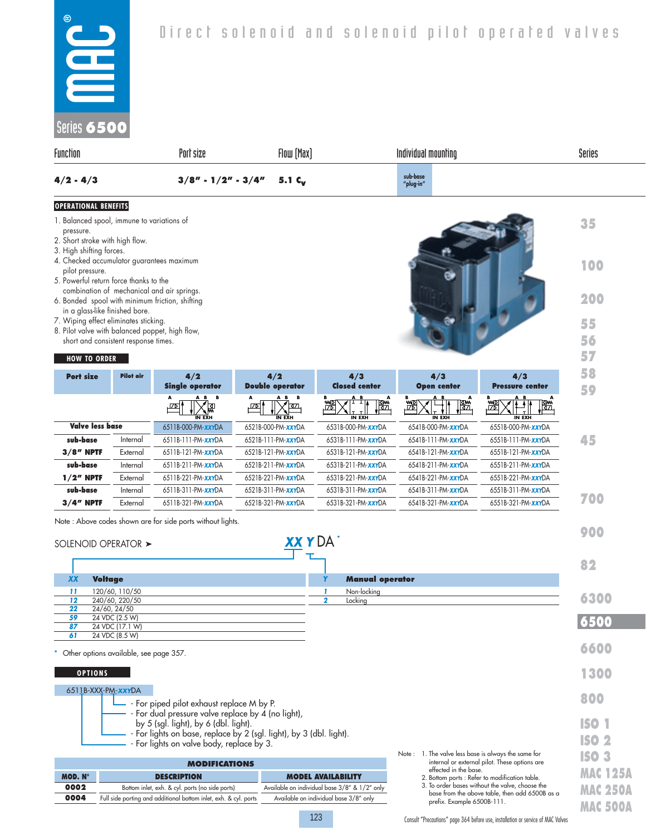- 1. Balanced spool, immune to variations of pressure.
- 2. Short stroke with high flow.
- 3. High shifting forces.
- 4. Checked accumulator guarantees maximum pilot pressure.
- 5. Powerful return force thanks to the combination of mechanical and air springs.
- 6. Bonded spool with minimum friction, shifting in a glass-like finished bore.
- 7. Wiping effect eliminates sticking.
- 8. Pilot valve with balanced poppet, high flow, short and consistent response times.

## **HOW TO ORDER**

| <b>HOW TO ORDER</b>    |                  |                                               |                                                   |                                |                                     |                                   | 57       |
|------------------------|------------------|-----------------------------------------------|---------------------------------------------------|--------------------------------|-------------------------------------|-----------------------------------|----------|
| <b>Port size</b>       | <b>Pilot</b> air | 4/2<br><b>Single operator</b>                 | 4/2<br><b>Double operator</b>                     | 4/3<br><b>Closed center</b>    | 4/3<br><b>Open center</b>           | 4/3<br><b>Pressure center</b>     | 58<br>59 |
|                        |                  | AB B<br>A<br>ার<br><u>म्प्राप्त</u><br>IN EXH | A B<br>B<br>A<br>321,<br>$\overline{L}$<br>IN EXH | A B<br>澀<br>圈<br><b>IN EXH</b> | A B<br>A<br>澀<br>圈<br><b>IN EXH</b> | A B<br>澀<br>∏SI.<br><b>IN EXH</b> |          |
| <b>Valve less base</b> |                  | 6511B-000-PM-XXYDA                            | 6521B-000-PM-XXYDA                                | 6531B-000-PM-XXYDA             | 6541B-000-PM- <b>xxy</b> DA         | 6551B-000-PM-XXYDA                |          |
| sub-base               | Internal         | 6511B-111-PM-XXYDA                            | 6521B-111-PM- <b>xxy</b> DA                       | 6531B-111-PM- <b>xxy</b> DA    | 6541B-111-PM- <b>xxy</b> DA         | 6551B-111-PM-XXYDA                | 45       |
| $3/8$ " NPTF           | External         | 6511B-121-PM-XXYDA                            | 6521B-121-PM-XXYDA                                | 6531B-121-PM-XXYDA             | 6541B-121-PM-XXYDA                  | 6551B-121-PM-XXYDA                |          |
| sub-base               | Internal         | 6511B-211-PM- <b>xxy</b> DA                   | 6521B-211-PM- <b>xxy</b> DA                       | 6531B-211-PM- <b>xxy</b> DA    | 6541B-211-PM- <b>xxy</b> DA         | 6551B-211-PM-XXYDA                |          |
| $1/2$ " NPTF           | External         | 6511B-221-PM- <b>xxy</b> DA                   | 6521B-221-PM-XXYDA                                | 6531B-221-PM-XXYDA             | 6541B-221-PM- <b>xxy</b> DA         | 6551B-221-PM-XXYDA                |          |
| sub-base               | Internal         | 6511B-311-PM- <b>xxy</b> DA                   | 6521B-311-PM- <b>xxy</b> DA                       | 6531B-311-PM-XXYDA             | 6541B-311-PM- <b>xxy</b> DA         | 6551B-311-PM-XXYDA                |          |
| $3/4$ " NPTF           | External         | 6511B-321-PM- <b>xxy</b> DA                   | 6521B-321-PM- <b>xxy</b> DA                       | 6531B-321-PM- <b>xxy</b> DA    | 6541B-321-PM- <b>xxy</b> DA         | 6551B-321-PM- <b>xxy</b> DA       | 700      |

Note : Above codes shown are for side ports without lights.

|                 | SOLENOID OPERATOR >                                                                                                                                            | <b>XXYDA</b>                                  |                        |                                                     |                                                 | 900             |
|-----------------|----------------------------------------------------------------------------------------------------------------------------------------------------------------|-----------------------------------------------|------------------------|-----------------------------------------------------|-------------------------------------------------|-----------------|
|                 |                                                                                                                                                                |                                               |                        |                                                     |                                                 | 82              |
| <b>XX</b>       | <b>Voltage</b>                                                                                                                                                 |                                               | <b>Manual operator</b> |                                                     |                                                 |                 |
| 11              | 120/60, 110/50                                                                                                                                                 |                                               | Non-locking            |                                                     |                                                 |                 |
| 12              | 240/60, 220/50                                                                                                                                                 | $\overline{2}$                                | Locking                |                                                     |                                                 | 6300            |
| $\overline{22}$ | 24/60, 24/50                                                                                                                                                   |                                               |                        |                                                     |                                                 |                 |
| 59<br>87        | 24 VDC (2.5 W)<br>24 VDC (17.1 W)                                                                                                                              |                                               |                        |                                                     |                                                 | 6500            |
| 61              | 24 VDC (8.5 W)                                                                                                                                                 |                                               |                        |                                                     |                                                 |                 |
|                 | Other options available, see page 357.                                                                                                                         |                                               |                        |                                                     |                                                 | 6600            |
| <b>OPTIONS</b>  |                                                                                                                                                                |                                               |                        |                                                     |                                                 | 1300            |
|                 | 6511B-XXX-PM-XXYDA<br>- For piped pilot exhaust replace M by P.                                                                                                |                                               |                        |                                                     |                                                 | 800             |
|                 | For dual pressure valve replace by 4 (no light),<br>by 5 (sgl. light), by 6 (dbl. light).<br>For lights on base, replace by 2 (sgl. light), by 3 (dbl. light). |                                               |                        |                                                     |                                                 | <b>ISO 1</b>    |
|                 | For lights on valve body, replace by 3.                                                                                                                        |                                               |                        |                                                     |                                                 | ISO 2           |
|                 |                                                                                                                                                                |                                               |                        | Note: 1. The valve less base is always the same for |                                                 | <b>ISO 3</b>    |
|                 | <b>MODIFICATIONS</b>                                                                                                                                           |                                               |                        | effected in the base.                               | internal or external pilot. These options are   |                 |
| MOD. Nº         | <b>DESCRIPTION</b>                                                                                                                                             | <b>MODEL AVAILABILITY</b>                     |                        | 2. Bottom ports : Refer to modification table.      |                                                 | <b>MAC 125A</b> |
| 0002            | Bottom inlet, exh. & cyl. ports (no side ports)                                                                                                                | Available on individual base 3/8" & 1/2" only |                        |                                                     | 3. To order bases without the valve, choose the | <b>MAC 250A</b> |
| 0004            | Full side porting and additional bottom inlet, exh. & cyl. ports                                                                                               | Available on individual base 3/8" only        |                        | prefix. Example 6500B-111.                          | base from the above table, then add 6500B as a  |                 |
|                 |                                                                                                                                                                |                                               |                        |                                                     |                                                 | <b>MAC 500A</b> |

Consult "Precautions" page 364 before use, installation or service of MAC Valves

**35**

**100**

**200**

**55 56**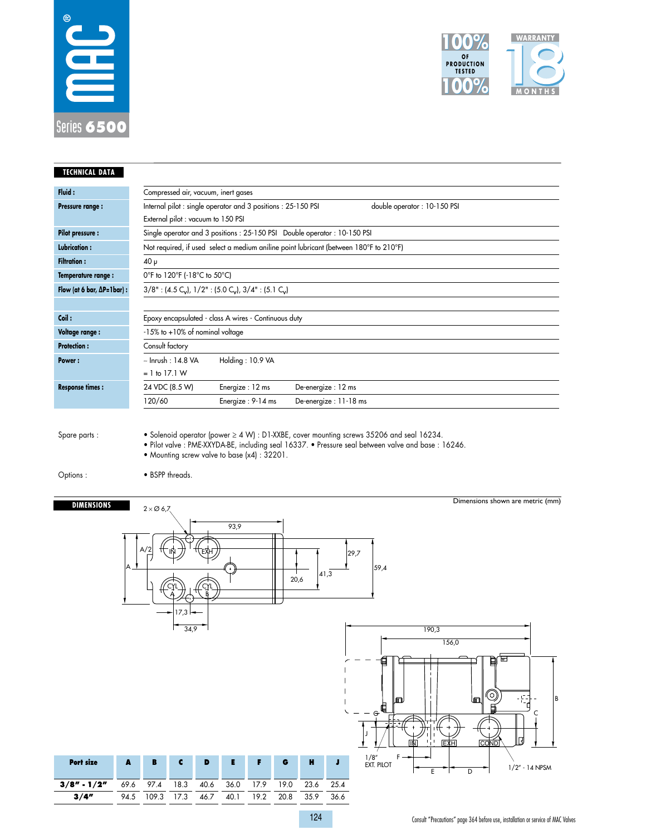



| <b>TECHNICAL DATA</b>                |      |                          |                         |                                     |      |                                                                                                |      |                                                                           |      |                                                                                                   |
|--------------------------------------|------|--------------------------|-------------------------|-------------------------------------|------|------------------------------------------------------------------------------------------------|------|---------------------------------------------------------------------------|------|---------------------------------------------------------------------------------------------------|
| Fluid:                               |      |                          |                         | Compressed air, vacuum, inert gases |      |                                                                                                |      |                                                                           |      |                                                                                                   |
| Pressure range:                      |      |                          |                         |                                     |      | Internal pilot : single operator and 3 positions : 25-150 PSI                                  |      |                                                                           |      | double operator: 10-150 PSI                                                                       |
|                                      |      |                          |                         | External pilot : vacuum to 150 PSI  |      |                                                                                                |      |                                                                           |      |                                                                                                   |
| <b>Pilot pressure:</b>               |      |                          |                         |                                     |      |                                                                                                |      | Single operator and 3 positions : 25-150 PSI Double operator : 10-150 PSI |      |                                                                                                   |
| <b>Lubrication:</b>                  |      |                          |                         |                                     |      |                                                                                                |      |                                                                           |      | Not required, if used select a medium aniline point lubricant (between 180°F to 210°F)            |
| <b>Filtration:</b>                   |      | $40 \mu$                 |                         |                                     |      |                                                                                                |      |                                                                           |      |                                                                                                   |
| Temperature range:                   |      |                          |                         | 0°F to 120°F (-18°C to 50°C)        |      |                                                                                                |      |                                                                           |      |                                                                                                   |
| Flow (at 6 bar, $\Delta P = 1$ bar): |      |                          |                         |                                     |      | $3/8"$ : (4.5 C <sub>v</sub> ), $1/2"$ : (5.0 C <sub>v</sub> ), $3/4"$ : (5.1 C <sub>v</sub> ) |      |                                                                           |      |                                                                                                   |
|                                      |      |                          |                         |                                     |      |                                                                                                |      |                                                                           |      |                                                                                                   |
| Coil:                                |      |                          |                         |                                     |      | Epoxy encapsulated - class A wires - Continuous duty                                           |      |                                                                           |      |                                                                                                   |
| Voltage range :                      |      |                          |                         | -15% to +10% of nominal voltage     |      |                                                                                                |      |                                                                           |      |                                                                                                   |
| <b>Protection:</b>                   |      | Consult factory          |                         |                                     |      |                                                                                                |      |                                                                           |      |                                                                                                   |
| Power:                               |      |                          | $\sim$ Inrush : 14.8 VA |                                     |      | Holding: 10.9 VA                                                                               |      |                                                                           |      |                                                                                                   |
|                                      |      | $= 1$ to 17.1 W          |                         |                                     |      |                                                                                                |      |                                                                           |      |                                                                                                   |
| <b>Response times:</b>               |      |                          | 24 VDC (8.5 W)          |                                     |      | Energize: 12 ms                                                                                |      | De-energize: 12 ms                                                        |      |                                                                                                   |
|                                      |      | 120/60                   |                         |                                     |      | Energize: 9-14 ms                                                                              |      | De-energize: 11-18 ms                                                     |      |                                                                                                   |
|                                      |      |                          |                         |                                     |      |                                                                                                |      |                                                                           |      |                                                                                                   |
| Spare parts :                        |      |                          |                         |                                     |      |                                                                                                |      |                                                                           |      | • Solenoid operator (power $\geq 4$ W) : D1-XXBE, cover mounting screws 35206 and seal 16234.     |
|                                      |      |                          |                         |                                     |      | • Mounting screw valve to base (x4) : 32201.                                                   |      |                                                                           |      | · Pilot valve: PME-XXYDA-BE, including seal 16337. • Pressure seal between valve and base: 16246. |
|                                      |      |                          |                         |                                     |      |                                                                                                |      |                                                                           |      |                                                                                                   |
| Options:                             |      | · BSPP threads.          |                         |                                     |      |                                                                                                |      |                                                                           |      |                                                                                                   |
|                                      |      |                          |                         |                                     |      |                                                                                                |      |                                                                           |      | Dimensions shown are metric (mm)                                                                  |
| <b>DIMENSIONS</b>                    |      | $2 \times \emptyset$ 6,7 |                         |                                     |      |                                                                                                |      |                                                                           |      |                                                                                                   |
|                                      |      |                          |                         |                                     | 93,9 |                                                                                                |      |                                                                           |      |                                                                                                   |
|                                      |      |                          |                         |                                     |      |                                                                                                |      |                                                                           |      |                                                                                                   |
|                                      |      |                          |                         |                                     |      |                                                                                                |      |                                                                           |      | 29,7                                                                                              |
|                                      |      |                          |                         |                                     |      |                                                                                                |      |                                                                           |      | 59,4                                                                                              |
|                                      |      |                          |                         |                                     |      |                                                                                                |      | 20,6                                                                      | 41,3 |                                                                                                   |
|                                      |      |                          |                         |                                     |      |                                                                                                |      |                                                                           |      |                                                                                                   |
|                                      |      |                          | 17,3                    |                                     |      |                                                                                                |      |                                                                           |      |                                                                                                   |
|                                      |      |                          | 34,9                    |                                     |      |                                                                                                |      |                                                                           |      | 190,3                                                                                             |
|                                      |      |                          |                         |                                     |      |                                                                                                |      |                                                                           |      | 156,0                                                                                             |
|                                      |      |                          |                         |                                     |      |                                                                                                |      |                                                                           |      | ⊟                                                                                                 |
|                                      |      |                          |                         |                                     |      |                                                                                                |      |                                                                           |      | ₿                                                                                                 |
|                                      |      |                          |                         |                                     |      |                                                                                                |      |                                                                           |      |                                                                                                   |
|                                      |      |                          |                         |                                     |      |                                                                                                |      |                                                                           |      | Q<br>В<br>œ<br>血                                                                                  |
|                                      |      |                          |                         |                                     |      |                                                                                                |      |                                                                           |      | G                                                                                                 |
|                                      |      |                          |                         |                                     |      |                                                                                                |      |                                                                           |      |                                                                                                   |
|                                      |      |                          |                         |                                     |      |                                                                                                |      |                                                                           |      | R<br>44 L<br><b>EXH</b><br><b>COND</b>                                                            |
|                                      |      |                          |                         |                                     |      |                                                                                                |      |                                                                           |      |                                                                                                   |
| Port size                            | A    | в                        | c                       | D                                   | E    | F                                                                                              | G    | н                                                                         |      | 1/8"<br>Ext. Pilot<br>$1/2'' - 14$ NPSM<br>Ε<br>D                                                 |
| $3/8'' - 1/2''$                      | 69.6 | 97.4                     | 18.3                    | 40.6                                | 36.0 | 17.9                                                                                           | 19.0 | 23.6                                                                      | 25.4 |                                                                                                   |
| 3/4''                                | 94.5 | 109.3                    | 17.3                    | 46.7                                | 40.1 | 19.2                                                                                           | 20.8 | 35.9                                                                      | 36.6 |                                                                                                   |
|                                      |      |                          |                         |                                     |      |                                                                                                |      |                                                                           |      |                                                                                                   |

124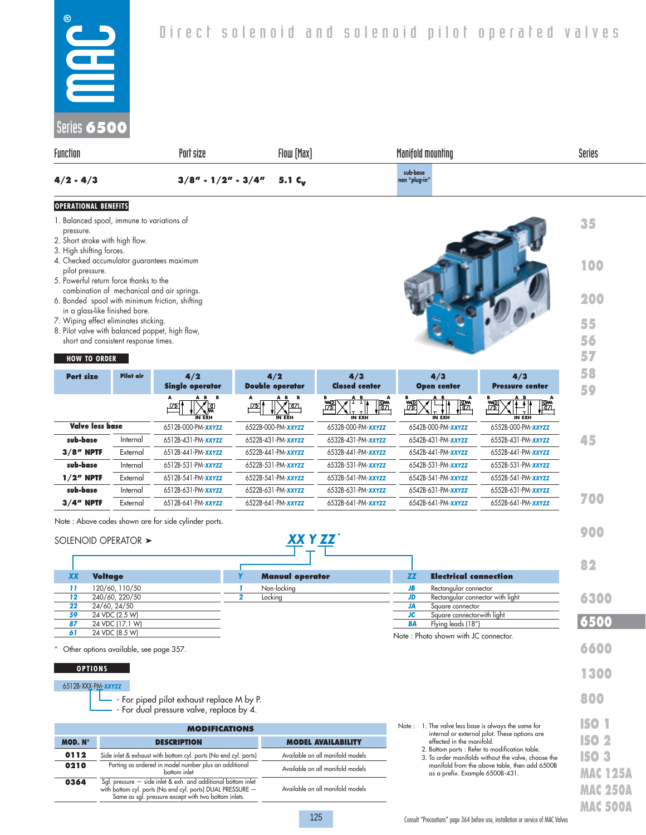| $^{\circ}$<br>Direct solenoid and solenoid pilot operated valves<br>$\Box$<br>a a<br>E<br>Series 6500<br>Function<br>Flow [Max]<br>Series<br>Port size<br>Manifold mounting<br>sub-base<br>$4/2 - 4/3$<br>$3/8" - 1/2" - 3/4"$<br>5.1 $c_v$<br>non "plug-in" | <b>OPERATIONAL BENEFITS</b> |  |  |
|--------------------------------------------------------------------------------------------------------------------------------------------------------------------------------------------------------------------------------------------------------------|-----------------------------|--|--|
|                                                                                                                                                                                                                                                              |                             |  |  |
|                                                                                                                                                                                                                                                              |                             |  |  |
|                                                                                                                                                                                                                                                              |                             |  |  |
|                                                                                                                                                                                                                                                              |                             |  |  |

- 1. Balanced spool, immune to variations of pressure.
- 2. Short stroke with high flow.
- 3. High shifting forces.
- 4. Checked accumulator guarantees maximum pilot pressure.
- 5. Powerful return force thanks to the combination of mechanical and air springs.
- 6. Bonded spool with minimum friction, shifting in a glass-like finished bore.
- 7. Wiping effect eliminates sticking.
- 8. Pilot valve with balanced poppet, high flow, short and consistent response times.

#### **HOW TO ORDER**

| <b>Port size</b>       | <b>Pilot air</b> | 4/2<br><b>Single operator</b>         | 4/2<br><b>Double operator</b>                                     | 4/3<br><b>Closed center</b>         | 4/3<br><b>Open center</b>        | 4/3<br><b>Pressure center</b>   |
|------------------------|------------------|---------------------------------------|-------------------------------------------------------------------|-------------------------------------|----------------------------------|---------------------------------|
|                        |                  | A B B<br>′툆<br>' ⊡ ا<br><b>IN EXH</b> | A B B<br>$\overline{\Delta}$<br><b>IZD</b><br>$\overline{IN}$ EXH | A B<br>А<br>澀<br>圈<br><b>IN EXH</b> | A B<br>澀<br>l₩.<br><b>IN EXH</b> | A B<br>遡<br>圈.<br><b>IN EXH</b> |
| <b>Valve less base</b> |                  | 6512B-000-PM-XXYZZ                    | 6522B-000-PM-XXYZZ                                                | 6532B-000-PM-XXYZZ                  | 6542B-000-PM-XXYZZ               | 6552B-000-PM-XXYZZ              |
| sub-base               | Internal         | 6512B-431-PM- <b>xxyzz</b>            | 6522B-431-PM- <b>xxyzz</b>                                        | 6532B-431-PM- <b>xxyzz</b>          | 6542B-431-PM- <b>xxyzz</b>       | 6552B-431-PM- <b>xxyzz</b>      |
| $3/8$ " NPTF           | External         | 6512B-441-PM- <b>xxyzz</b>            | 6522B-441-PM- <b>xxyzz</b>                                        | 6532B-441-PM- <b>xxyzz</b>          | 6542B-441-PM- <b>xxyzz</b>       | 6552B-441-PM- <b>xxyzz</b>      |
| sub-base               | Internal         | 6512B-531-PM- <b>xxyzz</b>            | 6522B-531-PM- <b>xxyzz</b>                                        | 6532B-531-PM- <b>xxyzz</b>          | 6542B-531-PM- <b>xxyzz</b>       | 6552B-531-PM- <b>xxyzz</b>      |
| $1/2$ " NPTF           | External         | 6512B-541-PM- <b>xxyzz</b>            | 6522B-541-PM-XXYZZ                                                | 6532B-541-PM- <b>xxyzz</b>          | 6542B-541-PM-xxyzz               | 6552B-541-PM-XXYZZ              |
| sub-base               | Internal         | 6512B-631-PM- <b>xxyzz</b>            | 6522B-631-PM- <b>xxyzz</b>                                        | 6532B-631-PM- <b>xxyzz</b>          | 6542B-631-PM- <b>xxyzz</b>       | 6552B-631-PM-XXYZZ              |
| $3/4$ " NPTF           | External         | 6512B-641-PM- <b>xxyzz</b>            | 6522B-641-PM- <b>xxyzz</b>                                        | 6532B-641-PM- <b>xxyzz</b>          | 6542B-641-PM- <b>xxyzz</b>       | 6552B-641-PM-XXYZZ              |

 *XX Y ZZ* \*

Note : Above codes shown are for side cylinder ports.

#### SOLENOID OPERATOR >

|           |                                          |                        |     |                                      | 82   |
|-----------|------------------------------------------|------------------------|-----|--------------------------------------|------|
| <b>XX</b> | <b>Voltage</b>                           | <b>Manual operator</b> | ΖZ  | <b>Electrical connection</b>         |      |
| 11        | 120/60, 110/50                           | Non-locking            | JВ  | Rectangular connector                |      |
| $12 \,$   | 240/60, 220/50                           | Locking                | JD. | Rectangular connector with light     | 6300 |
| 22        | 24/60, 24/50                             |                        | JA  | Square connector                     |      |
| 59        | 24 VDC (2.5 W)                           |                        | JC  | Square connectorwith light           |      |
| 87        | 24 VDC (17.1 W)                          |                        | BA  | Flying leads (18")                   | 6500 |
| 61        | 24 VDC (8.5 W)                           |                        |     | Note: Photo shown with JC connector. |      |
|           | * Other options available, see page 357. |                        |     |                                      | 660  |

#### **OPTIONS**

#### 6512B-XXX-PM-*XXYZZ*

- For piped pilot exhaust replace M by P.
- For dual pressure valve, replace by 4.

|                                                                         | <b>MODIFICATIONS</b>                                                                                                                                                                | Note: 1. The valve less base is always the same for<br>internal or external pilot. These options are |                                                                                                   |
|-------------------------------------------------------------------------|-------------------------------------------------------------------------------------------------------------------------------------------------------------------------------------|------------------------------------------------------------------------------------------------------|---------------------------------------------------------------------------------------------------|
| MOD. N°                                                                 | <b>DESCRIPTION</b>                                                                                                                                                                  | <b>MODEL AVAILABILITY</b>                                                                            | effected in the manifold.                                                                         |
| 0112<br>Side inlet & exhaust with bottom cyl. ports (No end cyl. ports) |                                                                                                                                                                                     | Available on all manifold models                                                                     | 2. Bottom ports : Refer to modification table.<br>3. To order manifolds without the valve, choose |
| 0210                                                                    | Porting as ordered in model number plus an additional<br>bottom inlet                                                                                                               | Available on all manifold models                                                                     | manifold from the above table, then add 65<br>as a prefix. Example 6500B-431.                     |
| 0364                                                                    | Sgl. pressure - side inlet & exh. and additional bottom inlet<br>with bottom cyl. ports (No end cyl. ports) DUAL PRESSURE -<br>Same as sal. pressure except with two bottom inlets. | Available on all manifold models                                                                     |                                                                                                   |

|  | <b>MAC 250A</b> |
|--|-----------------|
|  | <b>MAC 500A</b> |

**35**

**100**

**200**

**55 56 57**

**900**

**1300**

**800**

**ISO 1 ISO 2 ISO 3 MAC 125A**

 3. To order manifolds without the valve, choose the manifold from the above table, then add 6500B as a prefix. Example 6500B-431.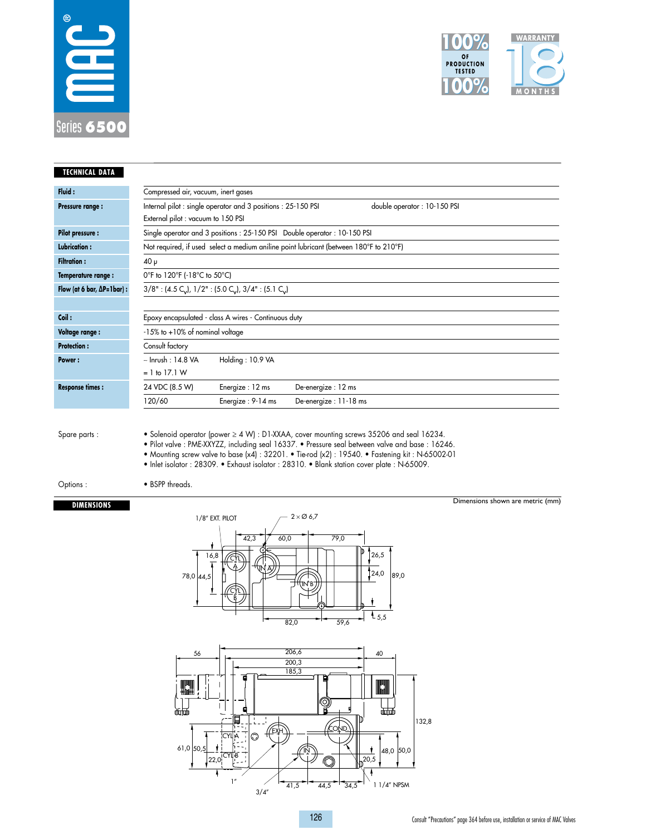



| <b>TECHNICAL DATA</b>                |                                       |                                                                                                |                        |                                                                                                                                                                                                                                                                                                        |                                  |
|--------------------------------------|---------------------------------------|------------------------------------------------------------------------------------------------|------------------------|--------------------------------------------------------------------------------------------------------------------------------------------------------------------------------------------------------------------------------------------------------------------------------------------------------|----------------------------------|
| Fluid:                               | Compressed air, vacuum, inert gases   |                                                                                                |                        |                                                                                                                                                                                                                                                                                                        |                                  |
| Pressure range:                      | External pilot : vacuum to 150 PSI    | Internal pilot : single operator and 3 positions : 25-150 PSI                                  |                        | double operator: 10-150 PSI                                                                                                                                                                                                                                                                            |                                  |
| <b>Pilot pressure:</b>               |                                       | Single operator and 3 positions : 25-150 PSI Double operator : 10-150 PSI                      |                        |                                                                                                                                                                                                                                                                                                        |                                  |
| <b>Lubrication:</b>                  |                                       | Not required, if used select a medium aniline point lubricant (between 180°F to 210°F)         |                        |                                                                                                                                                                                                                                                                                                        |                                  |
| <b>Filtration:</b>                   | $40 \mu$                              |                                                                                                |                        |                                                                                                                                                                                                                                                                                                        |                                  |
| Temperature range :                  | 0°F to 120°F (-18°C to 50°C)          |                                                                                                |                        |                                                                                                                                                                                                                                                                                                        |                                  |
| Flow (at 6 bar, $\Delta P = 1$ bar): |                                       | $3/8$ ": (4.5 C <sub>v</sub> ), $1/2$ ": (5.0 C <sub>v</sub> ), $3/4$ ": (5.1 C <sub>v</sub> ) |                        |                                                                                                                                                                                                                                                                                                        |                                  |
|                                      |                                       |                                                                                                |                        |                                                                                                                                                                                                                                                                                                        |                                  |
| Coil:                                |                                       | Epoxy encapsulated - class A wires - Continuous duty                                           |                        |                                                                                                                                                                                                                                                                                                        |                                  |
| <b>Voltage range:</b>                | $-15\%$ to $+10\%$ of nominal voltage |                                                                                                |                        |                                                                                                                                                                                                                                                                                                        |                                  |
| <b>Protection:</b>                   | Consult factory                       |                                                                                                |                        |                                                                                                                                                                                                                                                                                                        |                                  |
| Power:                               | $\sim$ Inrush: 14.8 VA                | Holding: 10.9 VA                                                                               |                        |                                                                                                                                                                                                                                                                                                        |                                  |
|                                      | $= 1$ to 17.1 W                       |                                                                                                |                        |                                                                                                                                                                                                                                                                                                        |                                  |
| <b>Response times:</b>               | 24 VDC (8.5 W)                        | Energize: 12 ms                                                                                | De-energize: 12 ms     |                                                                                                                                                                                                                                                                                                        |                                  |
|                                      | 120/60                                | Energize: 9-14 ms                                                                              | De-energize: 11-18 ms  |                                                                                                                                                                                                                                                                                                        |                                  |
| Spare parts:                         |                                       | . Inlet isolator: 28309. • Exhaust isolator: 28310. • Blank station cover plate: N-65009.      |                        | • Solenoid operator (power $\geq 4$ W) : D1-XXAA, cover mounting screws 35206 and seal 16234.<br>. Pilot valve : PME-XXYZZ, including seal 16337. • Pressure seal between valve and base : 16246.<br>• Mounting screw valve to base $(x4)$ : 32201. • Tie-rod (x2): 19540. • Fastening kit: N-65002-01 |                                  |
| Options:                             | • BSPP threads.                       |                                                                                                |                        |                                                                                                                                                                                                                                                                                                        |                                  |
| <b>DIMENSIONS</b>                    |                                       |                                                                                                |                        |                                                                                                                                                                                                                                                                                                        | Dimensions shown are metric (mm) |
|                                      |                                       | 1/8" EXT. PILOT                                                                                | $2\times\emptyset$ 6.7 |                                                                                                                                                                                                                                                                                                        |                                  |
|                                      |                                       |                                                                                                |                        |                                                                                                                                                                                                                                                                                                        |                                  |



 $\frac{2}{3/4}$ 

 $41,5$   $44,5$   $34,5$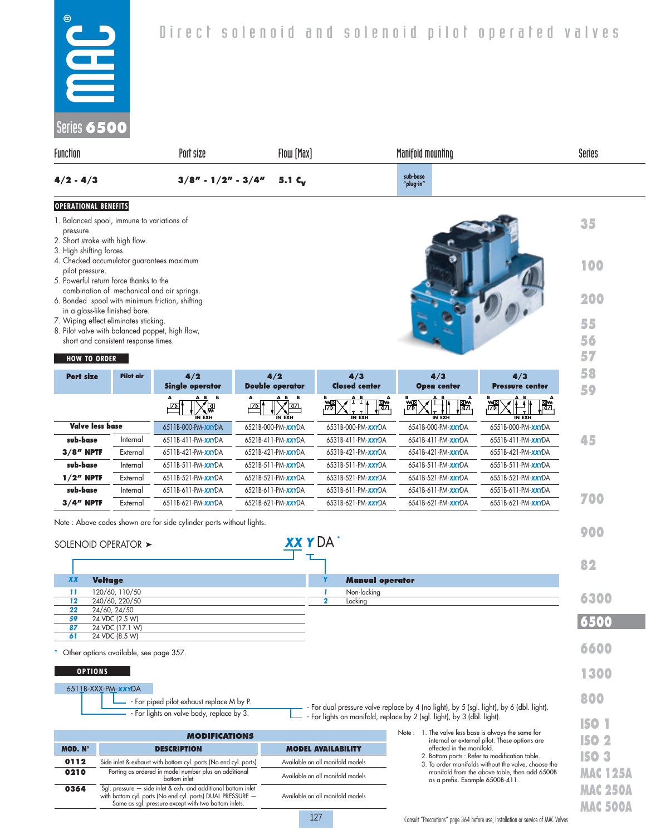- 1. Balanced spool, immune to variations of pressure.
- 2. Short stroke with high flow.
- 3. High shifting forces.

 $\overline{\phantom{0}}$ 

- 4. Checked accumulator guarantees maximum pilot pressure.
- 5. Powerful return force thanks to the combination of mechanical and air springs.
- 6. Bonded spool with minimum friction, shifting in a glass-like finished bore.
- 7. Wiping effect eliminates sticking.
- 8. Pilot valve with balanced poppet, high flow, short and consistent response times.

## **HOW TO ORDER**

| <b>Port size</b>       | Pilot air | 4/2<br><b>Single operator</b>      | 4/2<br><b>Double operator</b> | 4/3<br><b>Closed center</b> | 4/3<br><b>Open center</b>     | 4/3<br><b>Pressure center</b> |
|------------------------|-----------|------------------------------------|-------------------------------|-----------------------------|-------------------------------|-------------------------------|
|                        |           | A B B<br>А<br>【恩<br>.மு'<br>IN EXH | AB B<br>34<br>יבס∠.<br>IN EXH | A B<br>Ѭ<br><b>IN EXH</b>   | A B<br>R<br>圈.<br>澀<br>IN EXH | A B<br>澀<br>∭∰<br>IN EXH      |
| <b>Valve less base</b> |           | 6511B-000-PM-XXYDA                 | 6521B-000-PM- <b>xxy</b> DA   | 6531B-000-PM-XXYDA          | 6541B-000-PM- <b>xxyDA</b>    | 6551B-000-PM- <b>xxy</b> DA   |
| sub-base               | Internal  | 6511B-411-PM- <b>xxy</b> DA        | 6521B-411-PM- <b>xxy</b> DA   | 6531B-411-PM- <b>xxy</b> DA | 6541B-411-PM- <b>xxy</b> DA   | 6551B-411-PM- <b>xxy</b> DA   |
| $3/8$ " NPTF           | External  | 6511B-421-PM- <b>xxy</b> DA        | 6521B-421-PM- <b>xxy</b> DA   | 6531B-421-PM- <b>xxy</b> DA | 6541B-421-PM- <b>xxy</b> DA   | 6551B-421-PM- <b>xxy</b> DA   |
| sub-base               | Internal  | 6511B-511-PM- <b>xxy</b> DA        | 6521B-511-PM- <b>xxy</b> DA   | 6531B-511-PM- <b>xxy</b> DA | 6541B-511-PM- <b>xxy</b> DA   | 6551B-511-PM-XXYDA            |
| $1/2n$ NPTF            | External  | 6511B-521-PM- <b>xxy</b> DA        | 6521B-521-PM- <b>xxy</b> DA   | 6531B-521-PM- <b>xxy</b> DA | 6541B-521-PM- <b>xxy</b> DA   | 6551B-521-PM- <b>xxy</b> DA   |
| sub-base               | Internal  | 6511B-611-PM- <b>xxy</b> DA        | 6521B-611-PM- <b>xxy</b> DA   | 6531B-611-PM- <b>xxy</b> DA | 6541B-611-PM- <b>xxy</b> DA   | 6551B-611-PM-XXYDA            |
| $3/4$ " NPTF           | External  | 6511B-621-PM- <b>xxy</b> DA        | 6521B-621-PM-XXYDA            | 6531B-621-PM- <b>xxy</b> DA | 6541B-621-PM- <b>xxy</b> DA   | 6551B-621-PM- <b>xxy</b> DA   |

Note : Above codes shown are for side cylinder ports without lights.

|                | SOLENOID OPERATOR $\blacktriangleright$                                                                                                                                             | XXYDA'                            |                                                                                                                                                                     | 900                                |
|----------------|-------------------------------------------------------------------------------------------------------------------------------------------------------------------------------------|-----------------------------------|---------------------------------------------------------------------------------------------------------------------------------------------------------------------|------------------------------------|
|                |                                                                                                                                                                                     |                                   |                                                                                                                                                                     | 82                                 |
| <b>XX</b>      | <b>Voltage</b>                                                                                                                                                                      | <b>Manual operator</b>            |                                                                                                                                                                     |                                    |
| -11            | 120/60, 110/50                                                                                                                                                                      | Non-locking                       |                                                                                                                                                                     | 6300                               |
| 12<br>22       | 240/60.220/50<br>24/60, 24/50                                                                                                                                                       | $\overline{2}$<br>Locking         |                                                                                                                                                                     |                                    |
| 59             | 24 VDC (2.5 W)                                                                                                                                                                      |                                   |                                                                                                                                                                     | 6500                               |
| 87             | 24 VDC (17.1 W)                                                                                                                                                                     |                                   |                                                                                                                                                                     |                                    |
| 61             | 24 VDC (8.5 W)                                                                                                                                                                      |                                   |                                                                                                                                                                     |                                    |
|                | Other options available, see page 357.                                                                                                                                              |                                   |                                                                                                                                                                     | 6600                               |
|                |                                                                                                                                                                                     |                                   |                                                                                                                                                                     |                                    |
|                | <b>OPTIONS</b>                                                                                                                                                                      |                                   |                                                                                                                                                                     | 1300                               |
|                | 6511B-XXX-PM-XXYDA                                                                                                                                                                  |                                   |                                                                                                                                                                     |                                    |
|                | - For piped pilot exhaust replace M by P.                                                                                                                                           |                                   |                                                                                                                                                                     | 800                                |
|                | - For lights on valve body, replace by 3.                                                                                                                                           |                                   | - For dual pressure valve replace by 4 (no light), by 5 (sgl. light), by 6 (dbl. light).<br>- For lights on manifold, replace by 2 (sgl. light), by 3 (dbl. light). |                                    |
|                |                                                                                                                                                                                     |                                   |                                                                                                                                                                     | <b>ISO 1</b>                       |
|                | <b>MODIFICATIONS</b>                                                                                                                                                                |                                   | Note: 1. The valve less base is always the same for<br>internal or external pilot. These options are                                                                | ISO 2                              |
| <b>MOD. Nº</b> | <b>DESCRIPTION</b>                                                                                                                                                                  | <b>MODEL AVAILABILITY</b>         | effected in the manifold.                                                                                                                                           |                                    |
| 0112           | Side inlet & exhaust with bottom cyl. ports (No end cyl. ports)                                                                                                                     | Available on all manifold models  | 2. Bottom ports : Refer to modification table.<br>3. To order manifolds without the valve, choose the                                                               | <b>ISO 3</b>                       |
| 0210           | Porting as ordered in model number plus an additional<br>bottom inlet                                                                                                               | Available on all manifold models  | manifold from the above table, then add 6500B<br>as a prefix. Example 6500B-411.                                                                                    | <b>MAC 125A</b>                    |
| 0364           | Sal. pressure - side inlet & exh. and additional bottom inlet<br>with bottom cyl. ports (No end cyl. ports) DUAL PRESSURE -<br>Same as sgl. pressure except with two bottom inlets. | Available on all manifold models  |                                                                                                                                                                     | <b>MAC 250A</b><br><b>MAC 500A</b> |
|                |                                                                                                                                                                                     | the control of the control of the |                                                                                                                                                                     |                                    |

127

**35**

**100**

**200**

**55 56 57**

 $\sim$   $\sim$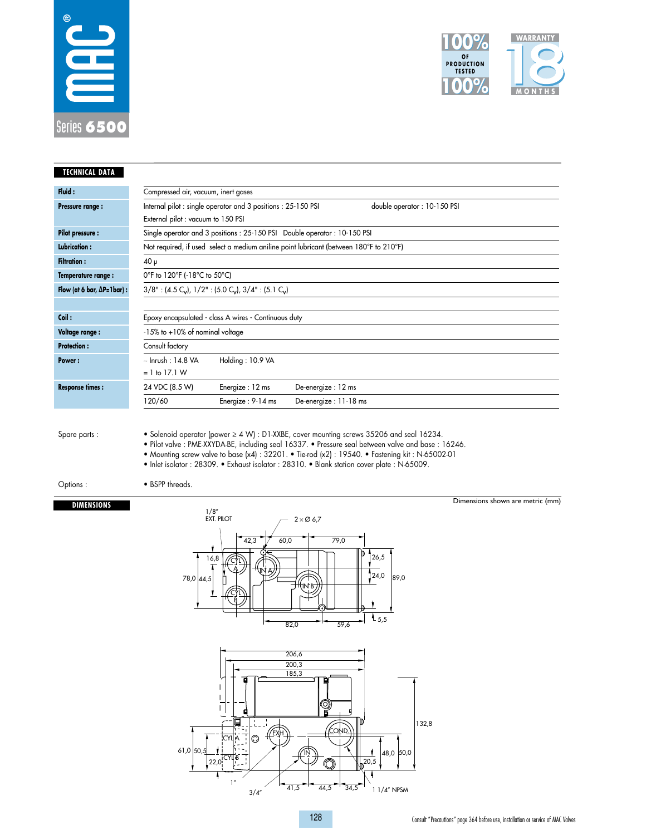



| <b>TECHNICAL DATA</b>                |                                                                                                                                                                                                                                                                                                           |  |  |  |  |  |  |  |
|--------------------------------------|-----------------------------------------------------------------------------------------------------------------------------------------------------------------------------------------------------------------------------------------------------------------------------------------------------------|--|--|--|--|--|--|--|
| Fluid:                               | Compressed air, vacuum, inert gases                                                                                                                                                                                                                                                                       |  |  |  |  |  |  |  |
| Pressure range :                     | Internal pilot : single operator and 3 positions : 25-150 PSI<br>double operator: 10-150 PSI                                                                                                                                                                                                              |  |  |  |  |  |  |  |
|                                      | External pilot : vacuum to 150 PSI                                                                                                                                                                                                                                                                        |  |  |  |  |  |  |  |
| <b>Pilot pressure:</b>               | Single operator and 3 positions: 25-150 PSI Double operator: 10-150 PSI                                                                                                                                                                                                                                   |  |  |  |  |  |  |  |
| Lubrication:                         | Not required, if used select a medium aniline point lubricant (between 180°F to 210°F)                                                                                                                                                                                                                    |  |  |  |  |  |  |  |
| <b>Filtration:</b>                   | 40 μ                                                                                                                                                                                                                                                                                                      |  |  |  |  |  |  |  |
| Temperature range:                   | 0°F to 120°F (-18°C to 50°C)                                                                                                                                                                                                                                                                              |  |  |  |  |  |  |  |
| Flow (at 6 bar, $\Delta P = 1$ bar): | $3/8"$ : (4.5 C <sub>v</sub> ), $1/2"$ : (5.0 C <sub>v</sub> ), $3/4"$ : (5.1 C <sub>v</sub> )                                                                                                                                                                                                            |  |  |  |  |  |  |  |
|                                      |                                                                                                                                                                                                                                                                                                           |  |  |  |  |  |  |  |
| Coil:                                | Epoxy encapsulated - class A wires - Continuous duty                                                                                                                                                                                                                                                      |  |  |  |  |  |  |  |
| Voltage range :                      | -15% to +10% of nominal voltage                                                                                                                                                                                                                                                                           |  |  |  |  |  |  |  |
| <b>Protection:</b>                   | Consult factory                                                                                                                                                                                                                                                                                           |  |  |  |  |  |  |  |
| <b>Power:</b>                        | $\sim$ Inrush: 14.8 VA<br>Holding: 10.9 VA                                                                                                                                                                                                                                                                |  |  |  |  |  |  |  |
|                                      | $= 1$ to 17.1 W                                                                                                                                                                                                                                                                                           |  |  |  |  |  |  |  |
| <b>Response times:</b>               | 24 VDC (8.5 W)<br>Energize: 12 ms<br>De-energize: 12 ms                                                                                                                                                                                                                                                   |  |  |  |  |  |  |  |
|                                      | 120/60<br>Energize: 9-14 ms<br>De-energize: 11-18 ms                                                                                                                                                                                                                                                      |  |  |  |  |  |  |  |
| Spare parts :                        | • Solenoid operator (power $\geq 4$ W) : D1-XXBE, cover mounting screws 35206 and seal 16234.<br>· Pilot valve : PME-XXYDA-BE, including seal 16337. • Pressure seal between valve and base : 16246.<br>• Mounting screw valve to base (x4) : 32201. • Tie-rod (x2) : 19540. • Fastening kit : N-65002-01 |  |  |  |  |  |  |  |
|                                      | • Inlet isolator : 28309. • Exhaust isolator : 28310. • Blank station cover plate : N-65009.                                                                                                                                                                                                              |  |  |  |  |  |  |  |
| Options:                             | • BSPP threads.                                                                                                                                                                                                                                                                                           |  |  |  |  |  |  |  |
| <b>DIMENSIONS</b>                    | Dimensions shown are metric (mm)                                                                                                                                                                                                                                                                          |  |  |  |  |  |  |  |
|                                      | 1/8''<br>EXT. PILOT<br>$2 \times \emptyset$ 6,7                                                                                                                                                                                                                                                           |  |  |  |  |  |  |  |
|                                      | 79,0<br>42,3<br>60,0<br>26,5<br>16,8<br>24.0<br>89.0<br>78,0 44.5<br>$^{4}$ 5,5<br>82,0<br>59,6                                                                                                                                                                                                           |  |  |  |  |  |  |  |

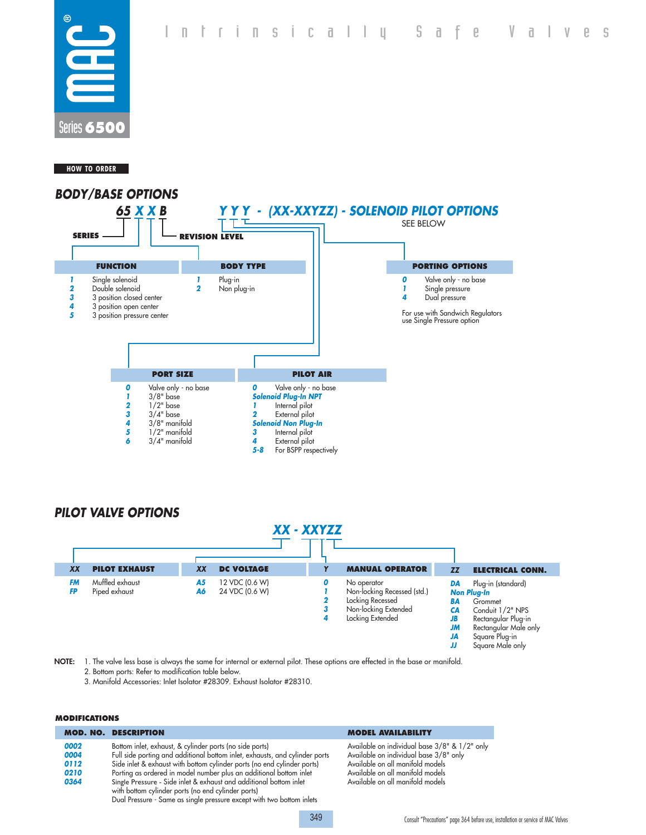Intrinsically Safe Valves



#### **HOW TO ORDER**



# *PILOT VALVE OPTIONS*

| XX - XXYZZ             |                                  |                 |                                  |             |                                                                                                            |                                                                           |                                                                                                                                                               |
|------------------------|----------------------------------|-----------------|----------------------------------|-------------|------------------------------------------------------------------------------------------------------------|---------------------------------------------------------------------------|---------------------------------------------------------------------------------------------------------------------------------------------------------------|
| XX                     | <b>PILOT EXHAUST</b>             | <b>XX</b>       | <b>DC VOLTAGE</b>                |             | <b>MANUAL OPERATOR</b>                                                                                     | <b>ZZ</b>                                                                 | <b>ELECTRICAL CONN.</b>                                                                                                                                       |
| <b>FM</b><br><b>FP</b> | Muffled exhaust<br>Piped exhaust | <b>A5</b><br>A6 | 12 VDC (0.6 W)<br>24 VDC (0.6 W) | 0<br>3<br>4 | No operator<br>Non-locking Recessed (std.)<br>Locking Recessed<br>Non-locking Extended<br>Locking Extended | DA<br><b>BA</b><br><b>CA</b><br><b>JB</b><br><b>JM</b><br><b>JA</b><br>IJ | Plug-in (standard)<br><b>Non Plug-In</b><br>Grommet<br>Conduit 1/2" NPS<br>Rectangular Plug-in<br>Rectangular Male only<br>Square Plug-in<br>Square Male only |

349

**NOTE:** 1. The valve less base is always the same for internal or external pilot. These options are effected in the base or manifold.

- 2. Bottom ports: Refer to modification table below.
- 3. Manifold Accessories: Inlet Isolator #28309. Exhaust Isolator #28310.

#### **MODIFICATIONS**

|      | <b>MOD. NO. DESCRIPTION</b>                                                 |
|------|-----------------------------------------------------------------------------|
| 0002 | Bottom inlet, exhaust, & cylinder ports (no side ports)                     |
| 0004 | Full side porting and additional bottom inlet, exhausts, and cylinder ports |
| 0112 | Side inlet & exhaust with bottom cylinder ports (no end cylinder ports)     |
| 0210 | Porting as ordered in model number plus an additional bottom inlet          |
| 0364 | Single Pressure - Side inlet & exhaust and additional bottom inlet          |
|      | with bottom cylinder ports (no end cylinder ports)                          |
|      | Dual Pressure - Same as single pressure except with two bottom inlets       |

#### **MODEL AVAILABILITY**

Available on individual base 3/8" & 1/2" only Available on individual base 3/8" only Available on all manifold models Available on all manifold models Available on all manifold models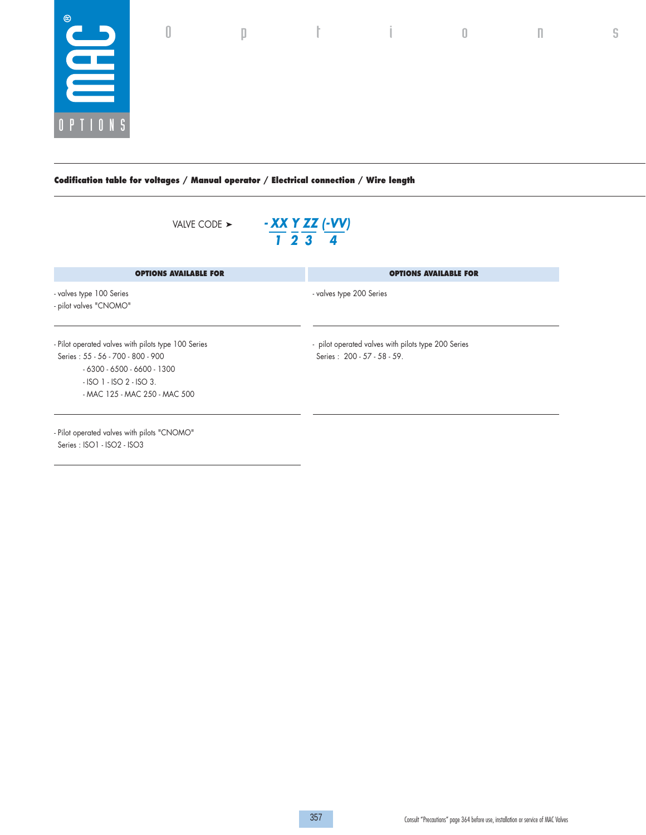

**Codification table for voltages / Manual operator / Electrical connection / Wire length**

| VALVE CODE $\blacktriangleright$                                                                                                                                                            | - XX Y ZZ (-VV)<br>1234                                                            |
|---------------------------------------------------------------------------------------------------------------------------------------------------------------------------------------------|------------------------------------------------------------------------------------|
| <b>OPTIONS AVAILABLE FOR</b>                                                                                                                                                                | <b>OPTIONS AVAILABLE FOR</b>                                                       |
| - valves type 100 Series<br>- pilot valves "CNOMO"                                                                                                                                          | - valves type 200 Series                                                           |
| - Pilot operated valves with pilots type 100 Series<br>Series: 55 - 56 - 700 - 800 - 900<br>$-6300 - 6500 - 6600 - 1300$<br>$-$ ISO 1 $-$ ISO 2 $-$ ISO 3.<br>- MAC 125 - MAC 250 - MAC 500 | - pilot operated valves with pilots type 200 Series<br>Series: 200 - 57 - 58 - 59. |
| - Pilot operated valves with pilots "CNOMO"<br>Series: ISO1 - ISO2 - ISO3                                                                                                                   |                                                                                    |

 $0$  p t i  $0$  n s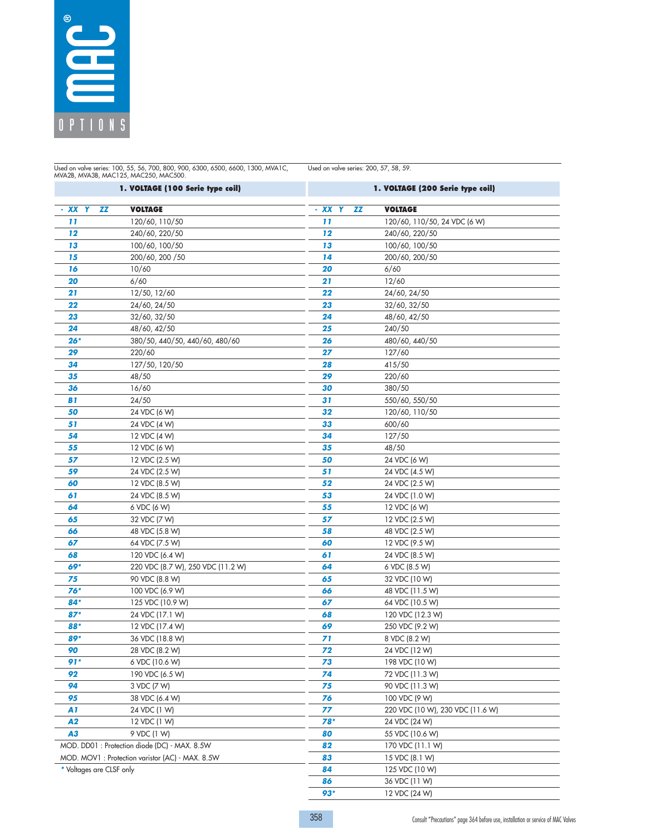

Used on valve series: 100, 55, 56, 700, 800, 900, 6300, 6500, 6600, 1300, MVA1C,<br>MVA2B, MVA3B, MAC125, MAC250, MAC500.

Used on valve series: 200, 57, 58, 59.

|                          | 1. VOLTAGE (100 Serie type coil)                |              | 1. VOLTAGE (200 Serie type coil) |
|--------------------------|-------------------------------------------------|--------------|----------------------------------|
| ZZ<br>- XX<br>Y          | <b>VOLTAGE</b>                                  | - XX Y<br>ZZ | <b>VOLTAGE</b>                   |
| 11                       | 120/60, 110/50                                  | 11           | 120/60, 110/50, 24 VDC (6 W)     |
| 12                       | 240/60, 220/50                                  | 12           | 240/60, 220/50                   |
| 13                       | 100/60, 100/50                                  | 13           | 100/60, 100/50                   |
| 15                       | 200/60, 200 / 50                                | 14           | 200/60, 200/50                   |
| 16                       | 10/60                                           | 20           | 6/60                             |
| 20                       | 6/60                                            | 21           | 12/60                            |
| 21                       | 12/50, 12/60                                    | 22           | 24/60, 24/50                     |
| 22                       | 24/60, 24/50                                    | 23           | 32/60, 32/50                     |
| 23                       | 32/60, 32/50                                    | 24           | 48/60, 42/50                     |
| 24                       | 48/60, 42/50                                    | 25           | 240/50                           |
| $26*$                    | 380/50, 440/50, 440/60, 480/60                  | 26           | 480/60, 440/50                   |
| 29                       | 220/60                                          | 27           | 127/60                           |
| 34                       | 127/50, 120/50                                  | 28           | 415/50                           |
| 35                       | 48/50                                           | 29           | 220/60                           |
| 36                       | 16/60                                           | 30           | 380/50                           |
| B1                       | 24/50                                           | 31           | 550/60, 550/50                   |
| 50                       | 24 VDC (6 W)                                    | 32           | 120/60, 110/50                   |
| 51                       | 24 VDC (4 W)                                    | 33           | 600/60                           |
| 54                       | 12 VDC (4 W)                                    | 34           | 127/50                           |
| 55                       | 12 VDC (6 W)                                    | 35           | 48/50                            |
| 57                       | 12 VDC (2.5 W)                                  | 50           | 24 VDC (6 W)                     |
| 59                       | 24 VDC (2.5 W)                                  | 51           | 24 VDC (4.5 W)                   |
| 60                       | 12 VDC (8.5 W)                                  | 52           | 24 VDC (2.5 W)                   |
| 61                       | 24 VDC (8.5 W)                                  | 53           | 24 VDC (1.0 W)                   |
| 64                       | 6 VDC (6 W)                                     | 55           | 12 VDC (6 W)                     |
| 65                       | 32 VDC (7 W)                                    | 57           | 12 VDC (2.5 W)                   |
| 66                       | 48 VDC (5.8 W)                                  | 58           | 48 VDC (2.5 W)                   |
| 67                       | 64 VDC (7.5 W)                                  | 60           | 12 VDC (9.5 W)                   |
| 68                       | 120 VDC (6.4 W)                                 | 61           | 24 VDC (8.5 W)                   |
| 69*                      | 220 VDC (8.7 W), 250 VDC (11.2 W)               | 64           | 6 VDC (8.5 W)                    |
| 75                       | 90 VDC (8.8 W)                                  | 65           | 32 VDC (10 W)                    |
| $76*$                    | 100 VDC (6.9 W)                                 | 66           | 48 VDC (11.5 W)                  |
| 84*                      | 125 VDC (10.9 W)                                | 67           | 64 VDC (10.5 W)                  |
| $87*$                    | 24 VDC (17.1 W)                                 | 68           | 120 VDC (12.3 W)                 |
| 88*                      | 12 VDC (17.4 W)                                 | 69           | 250 VDC (9.2 W)                  |
| 89*                      | 36 VDC (18.8 W)                                 | 71           | 8 VDC (8.2 W)                    |
| 90                       | 28 VDC (8.2 W)                                  | 72           | 24 VDC (12 W)                    |
| 91*                      | 6 VDC (10.6 W)                                  | 73           | 198 VDC (10 W)                   |
| 92                       | 190 VDC (6.5 W)                                 | 74           | 72 VDC (11.3 W)                  |
| 94                       | 3 VDC (7 W)                                     | 75           | 90 VDC (11.3 W)                  |
| 95                       | 38 VDC (6.4 W)                                  | 76           | 100 VDC (9 W)                    |
| A1                       | 24 VDC (1 W)                                    | 77           | 220 VDC (10 W), 230 VDC (11.6 W) |
| A2                       | 12 VDC (1 W)                                    | 78*          | 24 VDC (24 W)                    |
| A3                       | 9 VDC (1 W)                                     | 80           | 55 VDC (10.6 W)                  |
|                          | MOD. DD01: Protection diode (DC) - MAX. 8.5W    | 82           | 170 VDC (11.1 W)                 |
|                          | MOD. MOV1: Protection varistor (AC) - MAX. 8.5W | 83           | 15 VDC (8.1 W)                   |
| * Voltages are CLSF only |                                                 | 84           | 125 VDC (10 W)                   |
|                          |                                                 | 86           | 36 VDC (11 W)                    |
|                          |                                                 | $93*$        | 12 VDC (24 W)                    |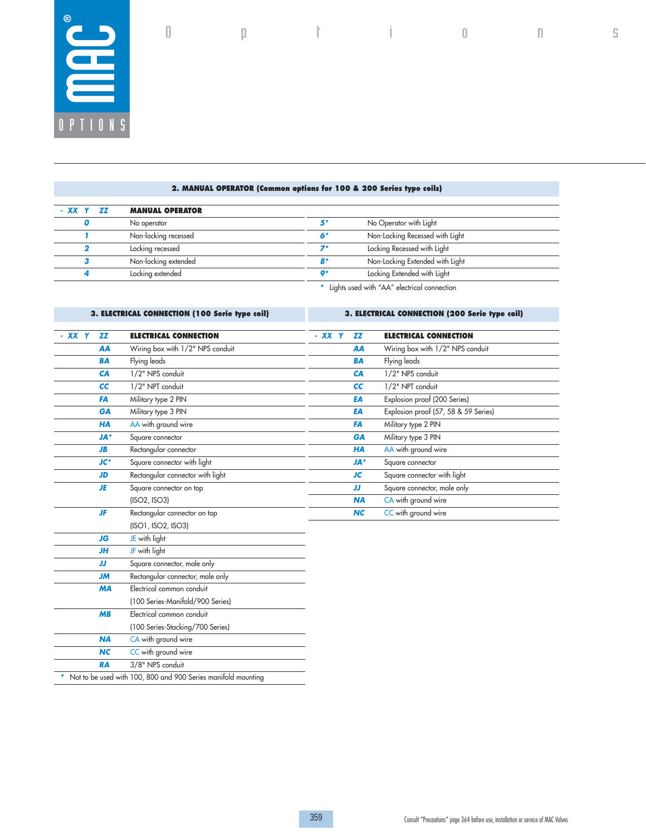

## **2. MANUAL OPERATOR (Common options for 100 & 200 Series type coils)**

| - XX Y ZZ | <b>MANUAL OPERATOR</b> |                                             |                                 |
|-----------|------------------------|---------------------------------------------|---------------------------------|
|           | No operator            | 5*                                          | No Operator with Light          |
|           | Non-locking recessed   |                                             | Non-Locking Recessed with Light |
|           | Locking recessed       |                                             | Locking Recessed with Light     |
|           | Non-locking extended   | R*                                          | Non-Locking Extended with Light |
|           | Locking extended       | $\mathbf{o}$                                | Locking Extended with Light     |
|           |                        | Lights used with "AA" electrical connection |                                 |

# **3. ELECTRICAL CONNECTION (100 Serie type coil)**

**3. ELECTRICAL CONNECTION (200 Serie type coil)**

O p t i o n s

| - XX Y | <b>ZZ</b>  | <b>ELECTRICAL CONNECTION</b>     | - XX Y | <b>ZZ</b>  | <b>ELECTRICAL CONNECTION</b>         |
|--------|------------|----------------------------------|--------|------------|--------------------------------------|
|        | AA         | Wiring box with 1/2" NPS conduit |        | AA         | Wiring box with 1/2" NPS conduit     |
|        | <b>BA</b>  | Flying leads                     |        | <b>BA</b>  | Flying leads                         |
|        | CA         | 1/2" NPS conduit                 |        | CA         | 1/2" NPS conduit                     |
|        | cc         | 1/2" NPT conduit                 |        | cc         | 1/2" NPT conduit                     |
|        | FA         | Military type 2 PIN              |        | EA         | Explosion proof (200 Series)         |
|        | GA         | Military type 3 PIN              |        | EA         | Explosion proof (57, 58 & 59 Series) |
|        | <b>HA</b>  | AA with ground wire              |        | FA         | Military type 2 PIN                  |
|        | <b>JA*</b> | Square connector                 |        | <b>GA</b>  | Military type 3 PIN                  |
|        | <b>JB</b>  | Rectangular connector            |        | <b>HA</b>  | AA with ground wire                  |
|        | $JC^*$     | Square connector with light      |        | <b>JA*</b> | Square connector                     |
|        | <b>JD</b>  | Rectangular connector with light |        | <b>JC</b>  | Square connector with light          |
|        | JE         | Square connector on top          |        | JJ         | Square connector, male only          |
|        |            | (ISO2, ISO3)                     |        | <b>NA</b>  | CA with ground wire                  |
|        | <b>JF</b>  | Rectangular connector on top     |        | <b>NC</b>  | CC with ground wire                  |
|        |            | (ISO1, ISO2, ISO3)               |        |            |                                      |
|        | JG         | JE with light                    |        |            |                                      |
|        | <b>JH</b>  | JF with light                    |        |            |                                      |
|        | IJ         | Square connector, male only      |        |            |                                      |
|        | <b>JM</b>  | Rectangular connector, male only |        |            |                                      |
|        | <b>MA</b>  | Electrical common conduit        |        |            |                                      |
|        |            | (100 Series-Manifold/900 Series) |        |            |                                      |
|        | MB         | Electrical common conduit        |        |            |                                      |
|        |            | (100 Series-Stacking/700 Series) |        |            |                                      |
|        | <b>NA</b>  | CA with ground wire              |        |            |                                      |
|        | <b>NC</b>  | CC with ground wire              |        |            |                                      |

RA 3/8" NPS conduit *\** Not to be used with 100, 800 and 900 Series manifold mounting